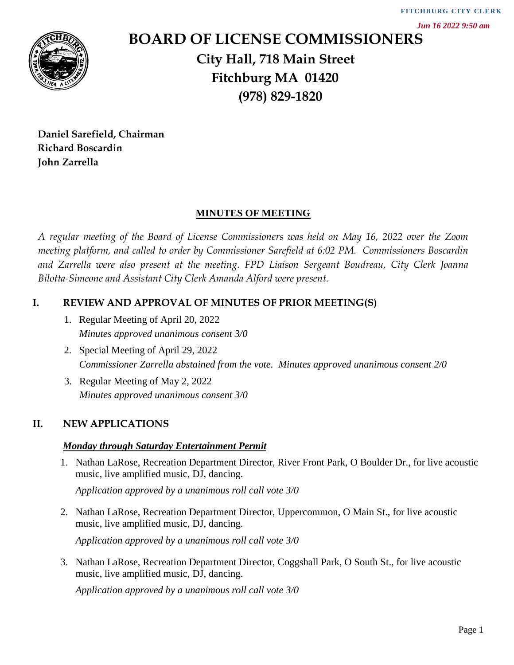*Jun 16 2022 9:50 am*



# **BOARD OF LICENSE COMMISSIONERS City Hall, 718 Main Street Fitchburg MA 01420 (978) 829-1820** *Application approved by a unanimous roll call vote 3/0* **FITCHBU RG C ITY CLER K**

**Daniel Sarefield, Chairman Richard Boscardin John Zarrella**

# **MINUTES OF MEETING**

*A regular meeting of the Board of License Commissioners was held on May 16, 2022 over the Zoom meeting platform, and called to order by Commissioner Sarefield at 6:02 PM. Commissioners Boscardin and Zarrella were also present at the meeting. FPD Liaison Sergeant Boudreau, City Clerk Joanna Bilotta-Simeone and Assistant City Clerk Amanda Alford were present.*

# **I. REVIEW AND APPROVAL OF MINUTES OF PRIOR MEETING(S)**

- 1. Regular Meeting of April 20, 2022 *Minutes approved unanimous consent 3/0*
- 2. Special Meeting of April 29, 2022 *Commissioner Zarrella abstained from the vote. Minutes approved unanimous consent 2/0*
- 3. Regular Meeting of May 2, 2022 *Minutes approved unanimous consent 3/0*

# **II. NEW APPLICATIONS**

# *Monday through Saturday Entertainment Permit*

1. Nathan LaRose, Recreation Department Director, River Front Park, O Boulder Dr., for live acoustic music, live amplified music, DJ, dancing.

*Application approved by a unanimous roll call vote 3/0*

2. Nathan LaRose, Recreation Department Director, Uppercommon, O Main St., for live acoustic music, live amplified music, DJ, dancing.

*Application approved by a unanimous roll call vote 3/0*

3. Nathan LaRose, Recreation Department Director, Coggshall Park, O South St., for live acoustic music, live amplified music, DJ, dancing.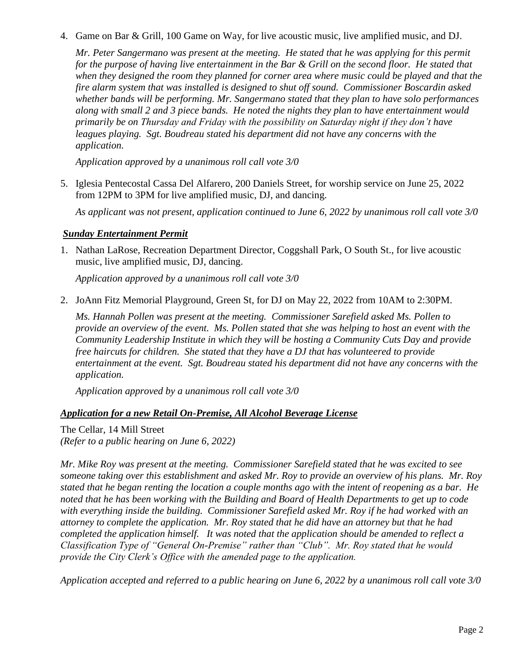4. Game on Bar & Grill, 100 Game on Way, for live acoustic music, live amplified music, and DJ.

*Mr. Peter Sangermano was present at the meeting. He stated that he was applying for this permit for the purpose of having live entertainment in the Bar & Grill on the second floor. He stated that when they designed the room they planned for corner area where music could be played and that the fire alarm system that was installed is designed to shut off sound. Commissioner Boscardin asked whether bands will be performing. Mr. Sangermano stated that they plan to have solo performances along with small 2 and 3 piece bands. He noted the nights they plan to have entertainment would primarily be on Thursday and Friday with the possibility on Saturday night if they don't have leagues playing. Sgt. Boudreau stated his department did not have any concerns with the application.*

*Application approved by a unanimous roll call vote 3/0*

5. Iglesia Pentecostal Cassa Del Alfarero, 200 Daniels Street, for worship service on June 25, 2022 from 12PM to 3PM for live amplified music, DJ, and dancing.

*As applicant was not present, application continued to June 6, 2022 by unanimous roll call vote 3/0*

### *Sunday Entertainment Permit*

1. Nathan LaRose, Recreation Department Director, Coggshall Park, O South St., for live acoustic music, live amplified music, DJ, dancing.

*Application approved by a unanimous roll call vote 3/0*

2. JoAnn Fitz Memorial Playground, Green St, for DJ on May 22, 2022 from 10AM to 2:30PM.

*Ms. Hannah Pollen was present at the meeting. Commissioner Sarefield asked Ms. Pollen to provide an overview of the event. Ms. Pollen stated that she was helping to host an event with the Community Leadership Institute in which they will be hosting a Community Cuts Day and provide free haircuts for children. She stated that they have a DJ that has volunteered to provide entertainment at the event. Sgt. Boudreau stated his department did not have any concerns with the application.*

*Application approved by a unanimous roll call vote 3/0*

### *Application for a new Retail On-Premise, All Alcohol Beverage License*

The Cellar, 14 Mill Street *(Refer to a public hearing on June 6, 2022)*

*Mr. Mike Roy was present at the meeting. Commissioner Sarefield stated that he was excited to see someone taking over this establishment and asked Mr. Roy to provide an overview of his plans. Mr. Roy stated that he began renting the location a couple months ago with the intent of reopening as a bar. He noted that he has been working with the Building and Board of Health Departments to get up to code with everything inside the building. Commissioner Sarefield asked Mr. Roy if he had worked with an attorney to complete the application. Mr. Roy stated that he did have an attorney but that he had completed the application himself. It was noted that the application should be amended to reflect a Classification Type of "General On-Premise" rather than "Club". Mr. Roy stated that he would provide the City Clerk's Office with the amended page to the application.* 

*Application accepted and referred to a public hearing on June 6, 2022 by a unanimous roll call vote 3/0*